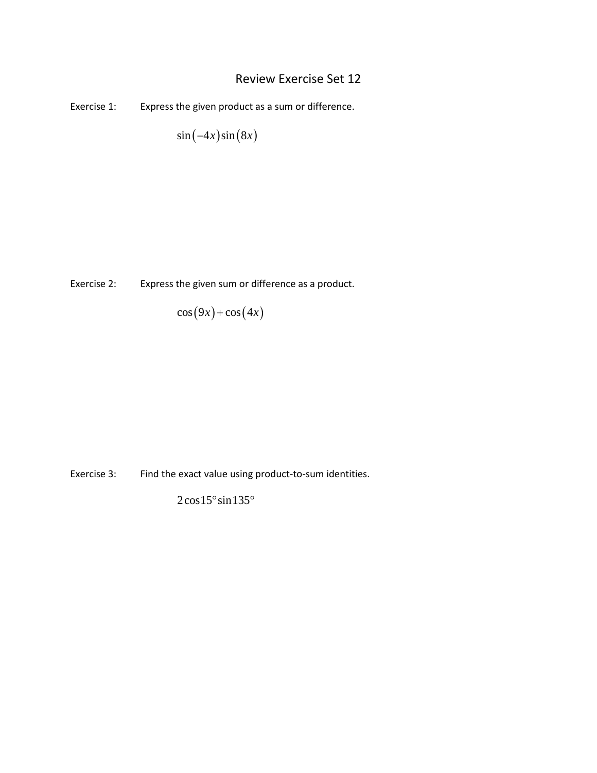## Review Exercise Set 12

Exercise 1: Express the given product as a sum or difference.

 $\sin (-4x) \sin (8x)$ 

Exercise 2: Express the given sum or difference as a product.

 $\cos(9x) + \cos(4x)$ 

Exercise 3: Find the exact value using product-to-sum identities.

 $2\cos 15^\circ \sin 135^\circ$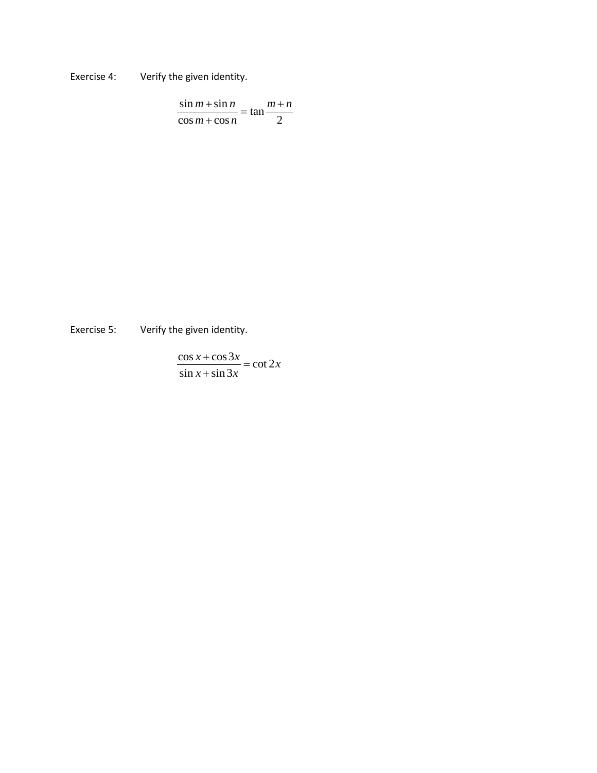Exercise 4: Verify the given identity.

$$
\frac{\sin m + \sin n}{\cos m + \cos n} = \tan \frac{m+n}{2}
$$

Exercise 5: Verify the given identity.

$$
\frac{\cos x + \cos 3x}{\sin x + \sin 3x} = \cot 2x
$$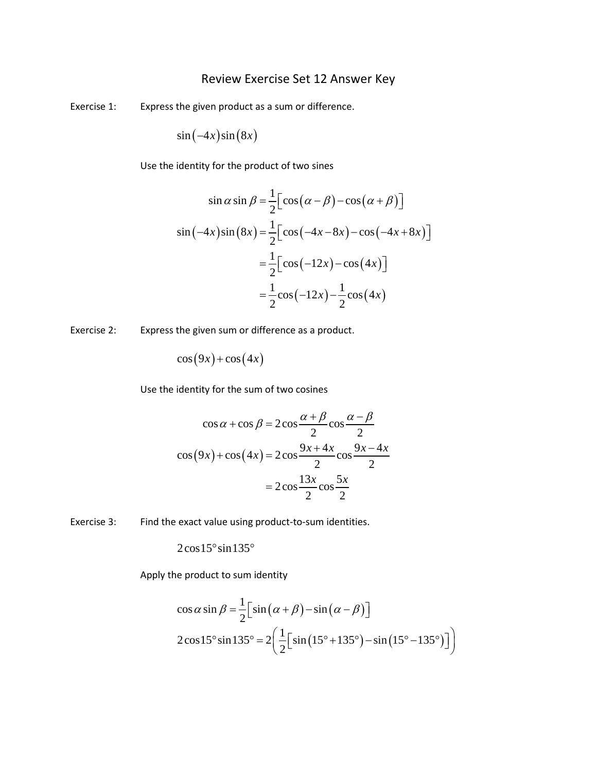## Review Exercise Set 12 Answer Key

Exercise 1: Express the given product as a sum or difference.

$$
\sin(-4x)\sin(8x)
$$

Use the identity for the product of two sines

$$
\sin \alpha \sin \beta = \frac{1}{2} \Big[ \cos(\alpha - \beta) - \cos(\alpha + \beta) \Big]
$$
  

$$
\sin(-4x)\sin(8x) = \frac{1}{2} \Big[ \cos(-4x - 8x) - \cos(-4x + 8x) \Big]
$$
  

$$
= \frac{1}{2} \Big[ \cos(-12x) - \cos(4x) \Big]
$$
  

$$
= \frac{1}{2} \cos(-12x) - \frac{1}{2} \cos(4x)
$$

Exercise 2: Express the given sum or difference as a product.

 $\cos(9x) + \cos(4x)$ 

Use the identity for the sum of two cosines

$$
\cos \alpha + \cos \beta = 2\cos \frac{\alpha + \beta}{2} \cos \frac{\alpha - \beta}{2}
$$

$$
\cos (9x) + \cos (4x) = 2\cos \frac{9x + 4x}{2} \cos \frac{9x - 4x}{2}
$$

$$
= 2\cos \frac{13x}{2} \cos \frac{5x}{2}
$$

Exercise 3: Find the exact value using product-to-sum identities.

 $2\cos 15^\circ \sin 135^\circ$ 

Apply the product to sum identity

$$
\cos \alpha \sin \beta = \frac{1}{2} \Big[ \sin \big( \alpha + \beta \big) - \sin \big( \alpha - \beta \big) \Big]
$$
  
2\cos 15° \sin 135° = 2 \Big( \frac{1}{2} \Big[ \sin \big( 15° + 135° \big) - \sin \big( 15° - 135° \big) \Big] \Big)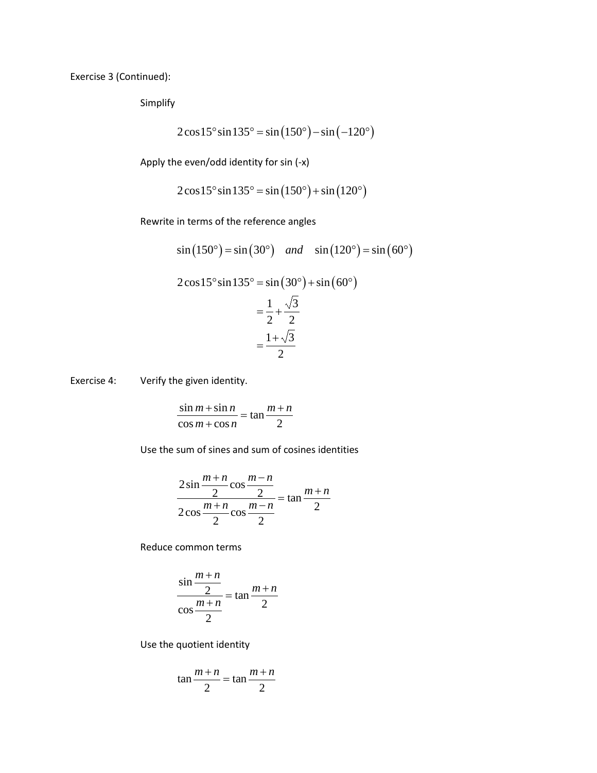Exercise 3 (Continued):

Simplify

$$
2\cos 15^\circ \sin 135^\circ = \sin (150^\circ) - \sin (-120^\circ)
$$

Apply the even/odd identity for sin (-x)

$$
2\cos 15^\circ \sin 135^\circ = \sin (150^\circ) + \sin (120^\circ)
$$

Rewrite in terms of the reference angles

$$
\sin(150^\circ) = \sin(30^\circ) \quad and \quad \sin(120^\circ) = \sin(60^\circ)
$$

 $2\cos 15^\circ \sin 135^\circ = \sin (30^\circ) + \sin (60^\circ)$  $=\frac{1}{2}+\frac{\sqrt{3}}{2}$ 

$$
2 \quad 2
$$
\n
$$
= \frac{1 + \sqrt{3}}{2}
$$

Exercise 4: Verify the given identity.

$$
\frac{\sin m + \sin n}{\cos m + \cos n} = \tan \frac{m+n}{2}
$$

Use the sum of sines and sum of cosines identities

$$
\frac{2\sin\frac{m+n}{2}\cos\frac{m-n}{2}}{2\cos\frac{m+n}{2}\cos\frac{m-n}{2}} = \tan\frac{m+n}{2}
$$

Reduce common terms

$$
\frac{\sin\frac{m+n}{2}}{\cos\frac{m+n}{2}} = \tan\frac{m+n}{2}
$$

Use the quotient identity

$$
\tan\frac{m+n}{2} = \tan\frac{m+n}{2}
$$